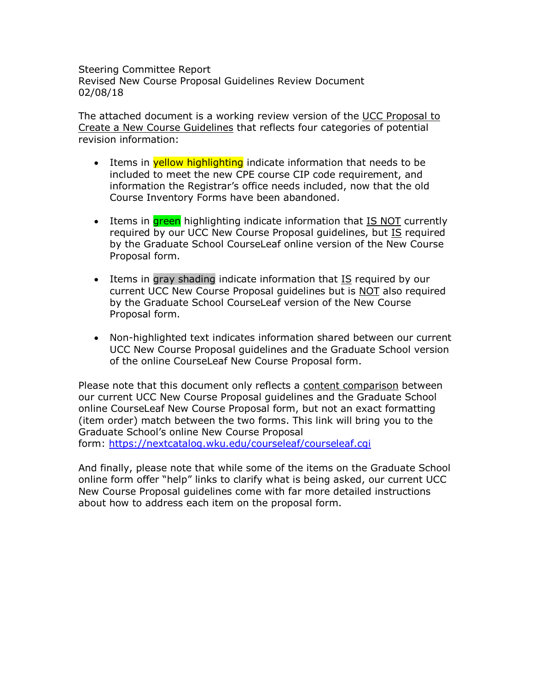Steering Committee Report Revised New Course Proposal Guidelines Review Document 02/08/18

The attached document is a working review version of the UCC Proposal to Create a New Course Guidelines that reflects four categories of potential revision information:

- Items in **yellow highlighting** indicate information that needs to be included to meet the new CPE course CIP code requirement, and information the Registrar's office needs included, now that the old Course Inventory Forms have been abandoned.
- Items in **green** highlighting indicate information that IS NOT currently required by our UCC New Course Proposal guidelines, but IS required by the Graduate School CourseLeaf online version of the New Course Proposal form.
- Items in gray shading indicate information that IS required by our current UCC New Course Proposal guidelines but is NOT also required by the Graduate School CourseLeaf version of the New Course Proposal form.
- Non-highlighted text indicates information shared between our current UCC New Course Proposal guidelines and the Graduate School version of the online CourseLeaf New Course Proposal form.

Please note that this document only reflects a content comparison between our current UCC New Course Proposal guidelines and the Graduate School online CourseLeaf New Course Proposal form, but not an exact formatting (item order) match between the two forms. This link will bring you to the Graduate School's online New Course Proposal form: https://nextcatalog.wku.edu/courseleaf/courseleaf.cgi

And finally, please note that while some of the items on the Graduate School online form offer "help" links to clarify what is being asked, our current UCC New Course Proposal guidelines come with far more detailed instructions about how to address each item on the proposal form.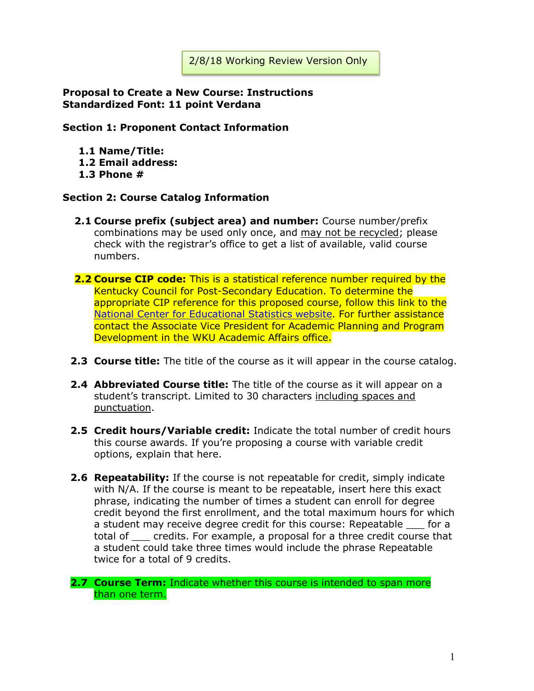#### **Proposal to Create a New Course: Instructions Standardized Font: 11 point Verdana**

#### **Section 1: Proponent Contact Information**

- **1.1 Name/Title:**
- **1.2 Email address:**
- **1.3 Phone #**

#### **Section 2: Course Catalog Information**

- **2.1 Course prefix (subject area) and number:** Course number/prefix combinations may be used only once, and may not be recycled; please check with the registrar's office to get a list of available, valid course numbers.
- **2.2 Course CIP code:** This is a statistical reference number required by the Kentucky Council for Post-Secondary Education. To determine the appropriate CIP reference for this proposed course, follow this link to the National Center for Educational Statistics website. For further assistance contact the Associate Vice President for Academic Planning and Program Development in the WKU Academic Affairs office.
- **2.3 Course title:** The title of the course as it will appear in the course catalog.
- **2.4 Abbreviated Course title:** The title of the course as it will appear on a student's transcript. Limited to 30 characters including spaces and punctuation.
- **2.5 Credit hours/Variable credit:** Indicate the total number of credit hours this course awards. If you're proposing a course with variable credit options, explain that here.
- **2.6 Repeatability:** If the course is not repeatable for credit, simply indicate with N/A. If the course is meant to be repeatable, insert here this exact phrase, indicating the number of times a student can enroll for degree credit beyond the first enrollment, and the total maximum hours for which a student may receive degree credit for this course: Repeatable for a total of \_\_\_ credits. For example, a proposal for a three credit course that a student could take three times would include the phrase Repeatable twice for a total of 9 credits.

**2.7 Course Term:** Indicate whether this course is intended to span more than one term.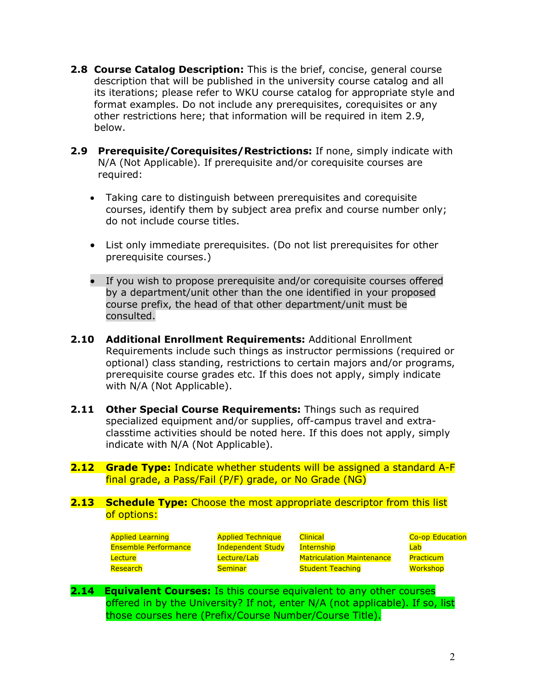- **2.8 Course Catalog Description:** This is the brief, concise, general course description that will be published in the university course catalog and all its iterations; please refer to WKU course catalog for appropriate style and format examples. Do not include any prerequisites, corequisites or any other restrictions here; that information will be required in item 2.9, below.
- **2.9 Prerequisite/Corequisites/Restrictions:** If none, simply indicate with N/A (Not Applicable). If prerequisite and/or corequisite courses are required:
	- Taking care to distinguish between prerequisites and corequisite courses, identify them by subject area prefix and course number only; do not include course titles.
	- List only immediate prerequisites. (Do not list prerequisites for other prerequisite courses.)
	- If you wish to propose prerequisite and/or corequisite courses offered by a department/unit other than the one identified in your proposed course prefix, the head of that other department/unit must be consulted.
- **2.10 Additional Enrollment Requirements:** Additional Enrollment Requirements include such things as instructor permissions (required or optional) class standing, restrictions to certain majors and/or programs, prerequisite course grades etc. If this does not apply, simply indicate with N/A (Not Applicable).
- **2.11 Other Special Course Requirements:** Things such as required specialized equipment and/or supplies, off-campus travel and extraclasstime activities should be noted here. If this does not apply, simply indicate with N/A (Not Applicable).
- **2.12 Grade Type:** Indicate whether students will be assigned a standard A-F final grade, a Pass/Fail (P/F) grade, or No Grade (NG)

**2.13 Schedule Type:** Choose the most appropriate descriptor from this list of options:

| <b>Applied Learning</b>     | <b>Applied Technique</b> | <b>Clinical</b>                  | <b>Co-op Education</b> |
|-----------------------------|--------------------------|----------------------------------|------------------------|
| <b>Ensemble Performance</b> | <b>Independent Study</b> | <b>Internship</b>                | Lab                    |
| Lecture                     | Lecture/Lab              | <b>Matriculation Maintenance</b> | Practicum              |
| Research                    | <b>Seminar</b>           | <b>Student Teaching</b>          | Workshop               |

**2.14 Equivalent Courses:** Is this course equivalent to any other courses offered in by the University? If not, enter N/A (not applicable). If so, list those courses here (Prefix/Course Number/Course Title).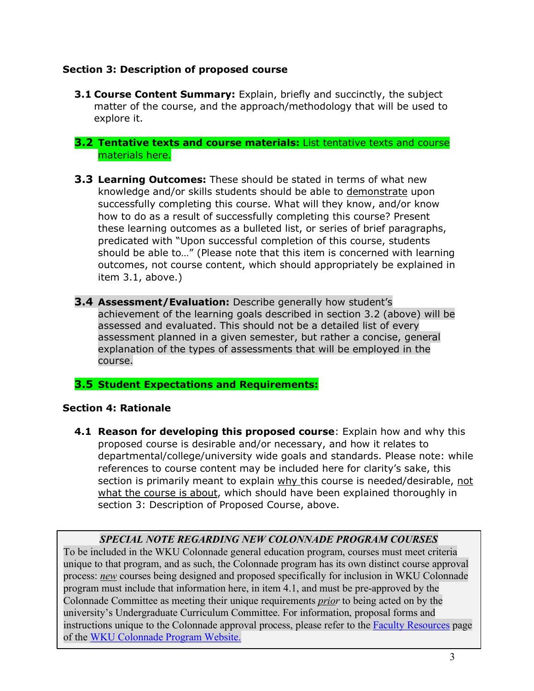# **Section 3: Description of proposed course**

**3.1 Course Content Summary:** Explain, briefly and succinctly, the subject matter of the course, and the approach/methodology that will be used to explore it.

## **3.2 Tentative texts and course materials:** List tentative texts and course materials here.

- **3.3 Learning Outcomes:** These should be stated in terms of what new knowledge and/or skills students should be able to demonstrate upon successfully completing this course. What will they know, and/or know how to do as a result of successfully completing this course? Present these learning outcomes as a bulleted list, or series of brief paragraphs, predicated with "Upon successful completion of this course, students should be able to…" (Please note that this item is concerned with learning outcomes, not course content, which should appropriately be explained in item 3.1, above.)
- **3.4 Assessment/Evaluation:** Describe generally how student's achievement of the learning goals described in section 3.2 (above) will be assessed and evaluated. This should not be a detailed list of every assessment planned in a given semester, but rather a concise, general explanation of the types of assessments that will be employed in the course.

# **3.5 Student Expectations and Requirements:**

## **Section 4: Rationale**

**4.1 Reason for developing this proposed course**: Explain how and why this proposed course is desirable and/or necessary, and how it relates to departmental/college/university wide goals and standards. Please note: while references to course content may be included here for clarity's sake, this section is primarily meant to explain why this course is needed/desirable, not what the course is about, which should have been explained thoroughly in section 3: Description of Proposed Course, above.

# *SPECIAL NOTE REGARDING NEW COLONNADE PROGRAM COURSES*

To be included in the WKU Colonnade general education program, courses must meet criteria unique to that program, and as such, the Colonnade program has its own distinct course approval process: *new* courses being designed and proposed specifically for inclusion in WKU Colonnade program must include that information here, in item 4.1, and must be pre-approved by the Colonnade Committee as meeting their unique requirements *prior* to being acted on by the university's Undergraduate Curriculum Committee. For information, proposal forms and instructions unique to the Colonnade approval process, please refer to the Faculty Resources page of the WKU Colonnade Program Website.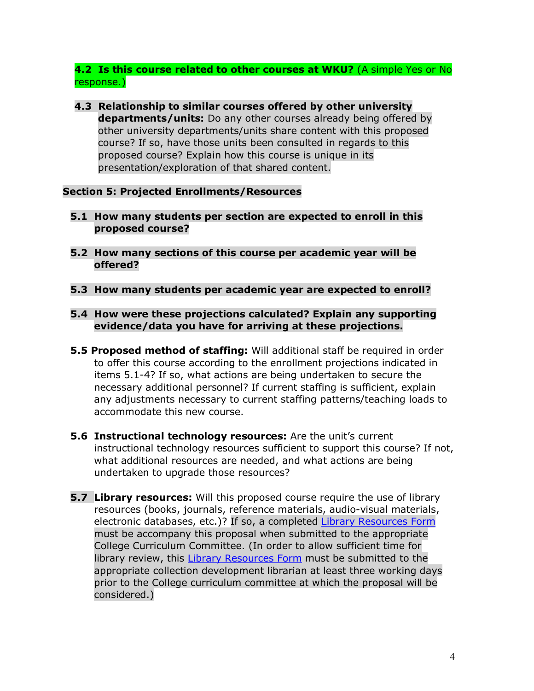**4.2 Is this course related to other courses at WKU?** (A simple Yes or No response.)

**4.3 Relationship to similar courses offered by other university departments/units:** Do any other courses already being offered by other university departments/units share content with this proposed course? If so, have those units been consulted in regards to this proposed course? Explain how this course is unique in its presentation/exploration of that shared content.

## **Section 5: Projected Enrollments/Resources**

- **5.1 How many students per section are expected to enroll in this proposed course?**
- **5.2 How many sections of this course per academic year will be offered?**
- **5.3 How many students per academic year are expected to enroll?**
- **5.4 How were these projections calculated? Explain any supporting evidence/data you have for arriving at these projections.**
- **5.5 Proposed method of staffing:** Will additional staff be required in order to offer this course according to the enrollment projections indicated in items 5.1-4? If so, what actions are being undertaken to secure the necessary additional personnel? If current staffing is sufficient, explain any adjustments necessary to current staffing patterns/teaching loads to accommodate this new course.
- **5.6 Instructional technology resources:** Are the unit's current instructional technology resources sufficient to support this course? If not, what additional resources are needed, and what actions are being undertaken to upgrade those resources?
- **5.7 Library resources:** Will this proposed course require the use of library resources (books, journals, reference materials, audio-visual materials, electronic databases, etc.)? If so, a completed Library Resources Form must be accompany this proposal when submitted to the appropriate College Curriculum Committee. (In order to allow sufficient time for library review, this Library Resources Form must be submitted to the appropriate collection development librarian at least three working days prior to the College curriculum committee at which the proposal will be considered.)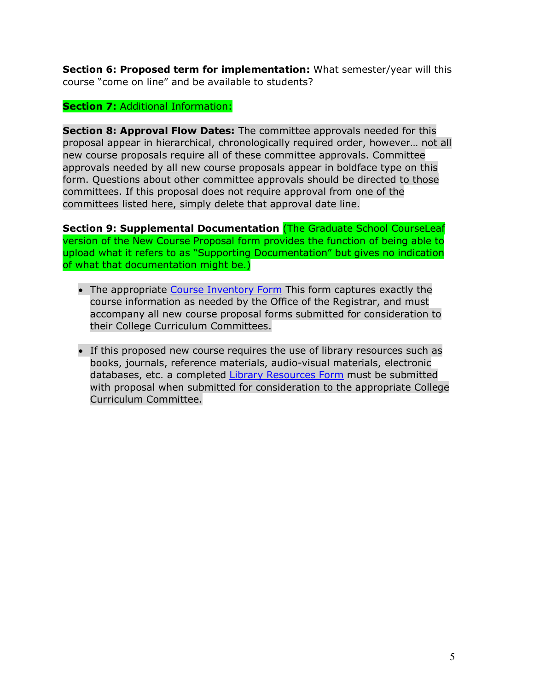**Section 6: Proposed term for implementation:** What semester/year will this course "come on line" and be available to students?

## **Section 7:** Additional Information:

**Section 8: Approval Flow Dates:** The committee approvals needed for this proposal appear in hierarchical, chronologically required order, however… not all new course proposals require all of these committee approvals. Committee approvals needed by all new course proposals appear in boldface type on this form. Questions about other committee approvals should be directed to those committees. If this proposal does not require approval from one of the committees listed here, simply delete that approval date line.

**Section 9: Supplemental Documentation** (The Graduate School CourseLeaf version of the New Course Proposal form provides the function of being able to upload what it refers to as "Supporting Documentation" but gives no indication of what that documentation might be.)

- The appropriate Course Inventory Form This form captures exactly the course information as needed by the Office of the Registrar, and must accompany all new course proposal forms submitted for consideration to their College Curriculum Committees.
- If this proposed new course requires the use of library resources such as books, journals, reference materials, audio-visual materials, electronic databases, etc. a completed Library Resources Form must be submitted with proposal when submitted for consideration to the appropriate College Curriculum Committee.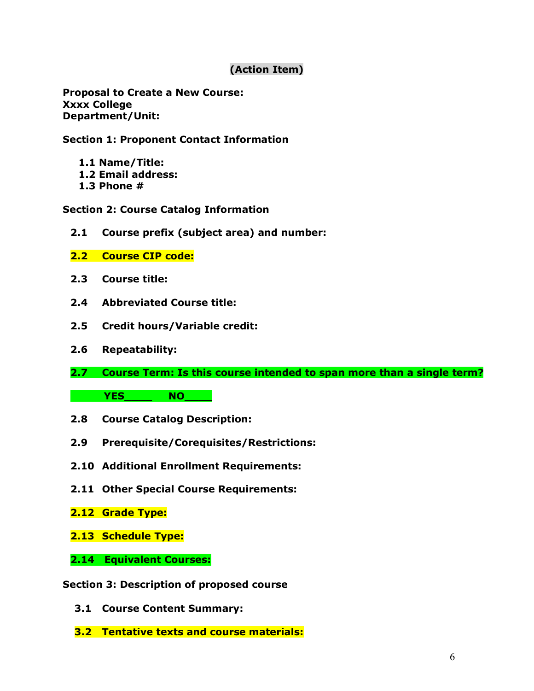# **(Action Item)**

**Proposal to Create a New Course: Xxxx College Department/Unit:** 

## **Section 1: Proponent Contact Information**

- **1.1 Name/Title:**
- **1.2 Email address:**
- **1.3 Phone #**

## **Section 2: Course Catalog Information**

- **2.1 Course prefix (subject area) and number:**
- **2.2 Course CIP code:**
- **2.3 Course title:**
- **2.4 Abbreviated Course title:**
- **2.5 Credit hours/Variable credit:**
- **2.6 Repeatability:**
- **2.7 Course Term: Is this course intended to span more than a single term?**

**YES\_\_\_\_\_ NO\_\_\_\_** 

- **2.8 Course Catalog Description:**
- **2.9 Prerequisite/Corequisites/Restrictions:**
- **2.10 Additional Enrollment Requirements:**
- **2.11 Other Special Course Requirements:**
- **2.12 Grade Type:**
- **2.13 Schedule Type:**
- **2.14 Equivalent Courses:**

#### **Section 3: Description of proposed course**

- **3.1 Course Content Summary:**
- **3.2 Tentative texts and course materials:**